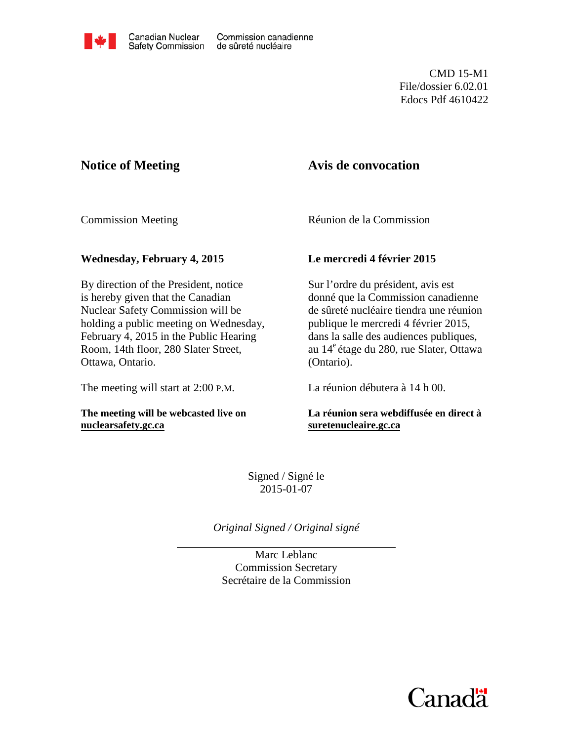

CMD 15-M1 File/dossier 6.02.01 Edocs Pdf 4610422

# **Notice of Meeting**

# **Avis de convocation**

Commission Meeting

Réunion de la Commission

## **Wednesday, February 4, 2015**

By direction of the President, notice is hereby given that the Canadian Nuclear Safety Commission will be holding a public meeting on Wednesday, February 4, 2015 in the Public Hearing Room, 14th floor, 280 Slater Street, Ottawa, Ontario.

The meeting will start at 2:00 P.M.

**The meeting will be webcasted live on [nuclearsafety.gc.ca](http://www.nuclearsafety.gc.ca/)**

## **Le mercredi 4 février 2015**

 Sur l'ordre du président, avis est donné que la Commission canadienne de sûreté nucléaire tiendra une réunion publique le mercredi 4 février 2015, dans la salle des audiences publiques, au 14e étage du 280, rue Slater, Ottawa (Ontario).

La réunion débutera à 14 h 00.

## **La réunion sera webdiffusée en direct à [suretenucleaire.gc.ca](http://www.suretenucleaire.gc.ca/)**

Signed / Signé le 2015-01-07

*Original Signed / Original signé* 

Marc Leblanc Commission Secretary Secrétaire de la Commission